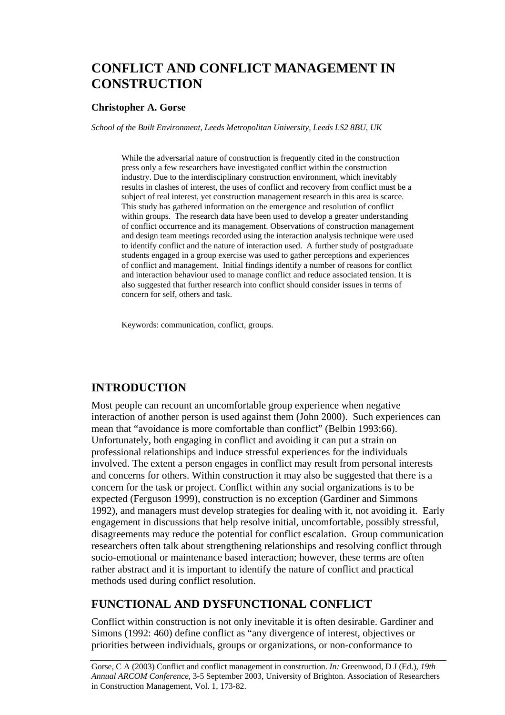# **CONFLICT AND CONFLICT MANAGEMENT IN CONSTRUCTION**

### **Christopher A. Gorse**

*School of the Built Environment, Leeds Metropolitan University, Leeds LS2 8BU, UK* 

While the adversarial nature of construction is frequently cited in the construction press only a few researchers have investigated conflict within the construction industry. Due to the interdisciplinary construction environment, which inevitably results in clashes of interest, the uses of conflict and recovery from conflict must be a subject of real interest, yet construction management research in this area is scarce. This study has gathered information on the emergence and resolution of conflict within groups. The research data have been used to develop a greater understanding of conflict occurrence and its management. Observations of construction management and design team meetings recorded using the interaction analysis technique were used to identify conflict and the nature of interaction used. A further study of postgraduate students engaged in a group exercise was used to gather perceptions and experiences of conflict and management. Initial findings identify a number of reasons for conflict and interaction behaviour used to manage conflict and reduce associated tension. It is also suggested that further research into conflict should consider issues in terms of concern for self, others and task.

Keywords: communication, conflict, groups.

## **INTRODUCTION**

Most people can recount an uncomfortable group experience when negative interaction of another person is used against them (John 2000). Such experiences can mean that "avoidance is more comfortable than conflict" (Belbin 1993:66). Unfortunately, both engaging in conflict and avoiding it can put a strain on professional relationships and induce stressful experiences for the individuals involved. The extent a person engages in conflict may result from personal interests and concerns for others. Within construction it may also be suggested that there is a concern for the task or project. Conflict within any social organizations is to be expected (Ferguson 1999), construction is no exception (Gardiner and Simmons 1992), and managers must develop strategies for dealing with it, not avoiding it. Early engagement in discussions that help resolve initial, uncomfortable, possibly stressful, disagreements may reduce the potential for conflict escalation. Group communication researchers often talk about strengthening relationships and resolving conflict through socio-emotional or maintenance based interaction; however, these terms are often rather abstract and it is important to identify the nature of conflict and practical methods used during conflict resolution.

## **FUNCTIONAL AND DYSFUNCTIONAL CONFLICT**

Conflict within construction is not only inevitable it is often desirable. Gardiner and Simons (1992: 460) define conflict as "any divergence of interest, objectives or priorities between individuals, groups or organizations, or non-conformance to

Gorse, C A (2003) Conflict and conflict management in construction. *In:* Greenwood, D J (Ed.), *19th Annual ARCOM Conference*, 3-5 September 2003, University of Brighton. Association of Researchers in Construction Management, Vol. 1, 173-82.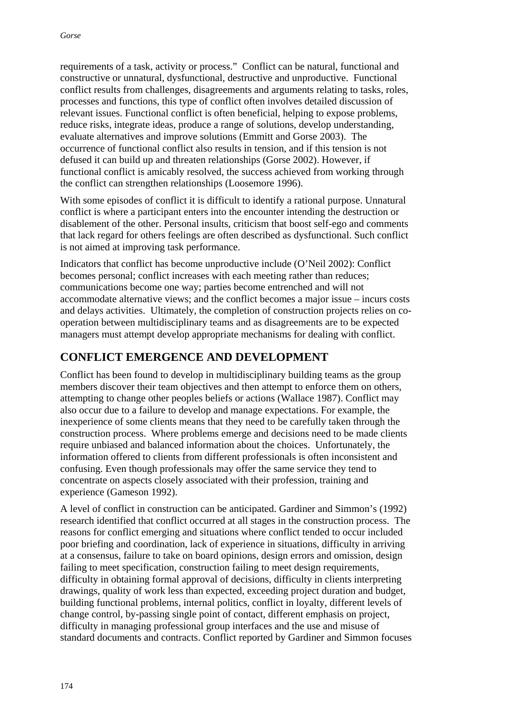requirements of a task, activity or process." Conflict can be natural, functional and constructive or unnatural, dysfunctional, destructive and unproductive. Functional conflict results from challenges, disagreements and arguments relating to tasks, roles, processes and functions, this type of conflict often involves detailed discussion of relevant issues. Functional conflict is often beneficial, helping to expose problems, reduce risks, integrate ideas, produce a range of solutions, develop understanding, evaluate alternatives and improve solutions (Emmitt and Gorse 2003). The occurrence of functional conflict also results in tension, and if this tension is not defused it can build up and threaten relationships (Gorse 2002). However, if functional conflict is amicably resolved, the success achieved from working through the conflict can strengthen relationships (Loosemore 1996).

With some episodes of conflict it is difficult to identify a rational purpose. Unnatural conflict is where a participant enters into the encounter intending the destruction or disablement of the other. Personal insults, criticism that boost self-ego and comments that lack regard for others feelings are often described as dysfunctional. Such conflict is not aimed at improving task performance.

Indicators that conflict has become unproductive include (O'Neil 2002): Conflict becomes personal; conflict increases with each meeting rather than reduces; communications become one way; parties become entrenched and will not accommodate alternative views; and the conflict becomes a major issue – incurs costs and delays activities. Ultimately, the completion of construction projects relies on cooperation between multidisciplinary teams and as disagreements are to be expected managers must attempt develop appropriate mechanisms for dealing with conflict.

## **CONFLICT EMERGENCE AND DEVELOPMENT**

Conflict has been found to develop in multidisciplinary building teams as the group members discover their team objectives and then attempt to enforce them on others, attempting to change other peoples beliefs or actions (Wallace 1987). Conflict may also occur due to a failure to develop and manage expectations. For example, the inexperience of some clients means that they need to be carefully taken through the construction process. Where problems emerge and decisions need to be made clients require unbiased and balanced information about the choices. Unfortunately, the information offered to clients from different professionals is often inconsistent and confusing. Even though professionals may offer the same service they tend to concentrate on aspects closely associated with their profession, training and experience (Gameson 1992).

A level of conflict in construction can be anticipated. Gardiner and Simmon's (1992) research identified that conflict occurred at all stages in the construction process. The reasons for conflict emerging and situations where conflict tended to occur included poor briefing and coordination, lack of experience in situations, difficulty in arriving at a consensus, failure to take on board opinions, design errors and omission, design failing to meet specification, construction failing to meet design requirements, difficulty in obtaining formal approval of decisions, difficulty in clients interpreting drawings, quality of work less than expected, exceeding project duration and budget, building functional problems, internal politics, conflict in loyalty, different levels of change control, by-passing single point of contact, different emphasis on project, difficulty in managing professional group interfaces and the use and misuse of standard documents and contracts. Conflict reported by Gardiner and Simmon focuses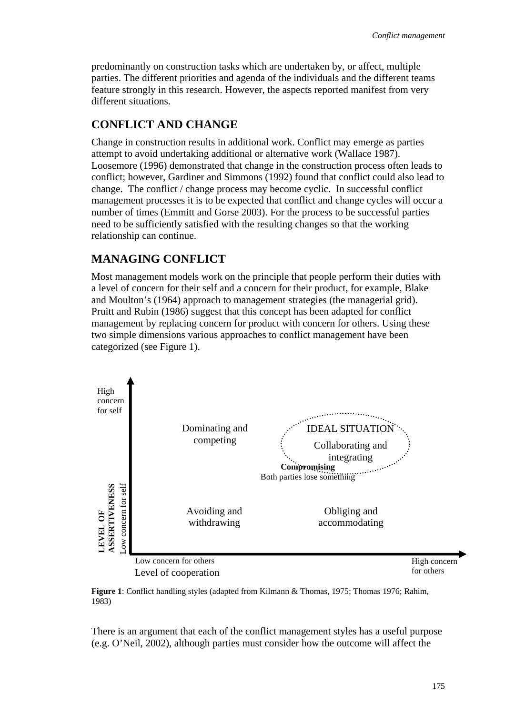predominantly on construction tasks which are undertaken by, or affect, multiple parties. The different priorities and agenda of the individuals and the different teams feature strongly in this research. However, the aspects reported manifest from very different situations.

## **CONFLICT AND CHANGE**

Change in construction results in additional work. Conflict may emerge as parties attempt to avoid undertaking additional or alternative work (Wallace 1987). Loosemore (1996) demonstrated that change in the construction process often leads to conflict; however, Gardiner and Simmons (1992) found that conflict could also lead to change. The conflict / change process may become cyclic. In successful conflict management processes it is to be expected that conflict and change cycles will occur a number of times (Emmitt and Gorse 2003). For the process to be successful parties need to be sufficiently satisfied with the resulting changes so that the working relationship can continue.

## **MANAGING CONFLICT**

Most management models work on the principle that people perform their duties with a level of concern for their self and a concern for their product, for example, Blake and Moulton's (1964) approach to management strategies (the managerial grid). Pruitt and Rubin (1986) suggest that this concept has been adapted for conflict management by replacing concern for product with concern for others. Using these two simple dimensions various approaches to conflict management have been categorized (see Figure 1).



**Figure 1**: Conflict handling styles (adapted from Kilmann & Thomas, 1975; Thomas 1976; Rahim, 1983)

There is an argument that each of the conflict management styles has a useful purpose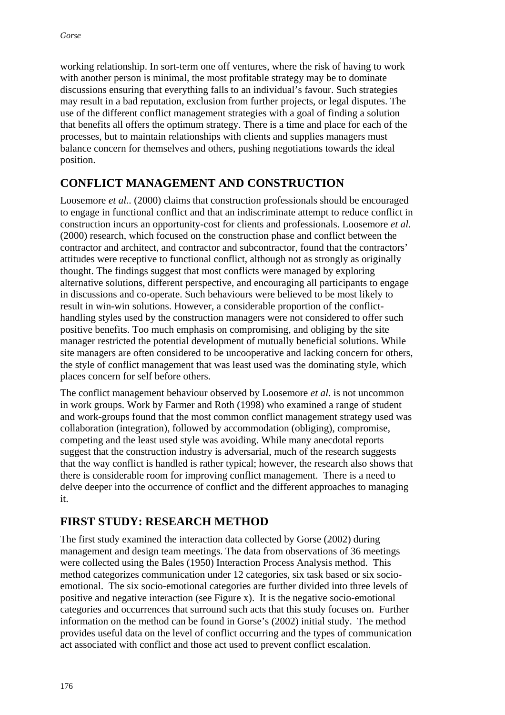working relationship. In sort-term one off ventures, where the risk of having to work with another person is minimal, the most profitable strategy may be to dominate discussions ensuring that everything falls to an individual's favour. Such strategies may result in a bad reputation, exclusion from further projects, or legal disputes. The use of the different conflict management strategies with a goal of finding a solution that benefits all offers the optimum strategy. There is a time and place for each of the processes, but to maintain relationships with clients and supplies managers must balance concern for themselves and others, pushing negotiations towards the ideal position.

## **CONFLICT MANAGEMENT AND CONSTRUCTION**

Loosemore *et al..* (2000) claims that construction professionals should be encouraged to engage in functional conflict and that an indiscriminate attempt to reduce conflict in construction incurs an opportunity-cost for clients and professionals. Loosemore *et al.* (2000) research, which focused on the construction phase and conflict between the contractor and architect, and contractor and subcontractor, found that the contractors' attitudes were receptive to functional conflict, although not as strongly as originally thought. The findings suggest that most conflicts were managed by exploring alternative solutions, different perspective, and encouraging all participants to engage in discussions and co-operate. Such behaviours were believed to be most likely to result in win-win solutions. However, a considerable proportion of the conflicthandling styles used by the construction managers were not considered to offer such positive benefits. Too much emphasis on compromising, and obliging by the site manager restricted the potential development of mutually beneficial solutions. While site managers are often considered to be uncooperative and lacking concern for others, the style of conflict management that was least used was the dominating style, which places concern for self before others.

The conflict management behaviour observed by Loosemore *et al.* is not uncommon in work groups. Work by Farmer and Roth (1998) who examined a range of student and work-groups found that the most common conflict management strategy used was collaboration (integration), followed by accommodation (obliging), compromise, competing and the least used style was avoiding. While many anecdotal reports suggest that the construction industry is adversarial, much of the research suggests that the way conflict is handled is rather typical; however, the research also shows that there is considerable room for improving conflict management. There is a need to delve deeper into the occurrence of conflict and the different approaches to managing it.

## **FIRST STUDY: RESEARCH METHOD**

The first study examined the interaction data collected by Gorse (2002) during management and design team meetings. The data from observations of 36 meetings were collected using the Bales (1950) Interaction Process Analysis method. This method categorizes communication under 12 categories, six task based or six socioemotional. The six socio-emotional categories are further divided into three levels of positive and negative interaction (see Figure x). It is the negative socio-emotional categories and occurrences that surround such acts that this study focuses on. Further information on the method can be found in Gorse's (2002) initial study. The method provides useful data on the level of conflict occurring and the types of communication act associated with conflict and those act used to prevent conflict escalation.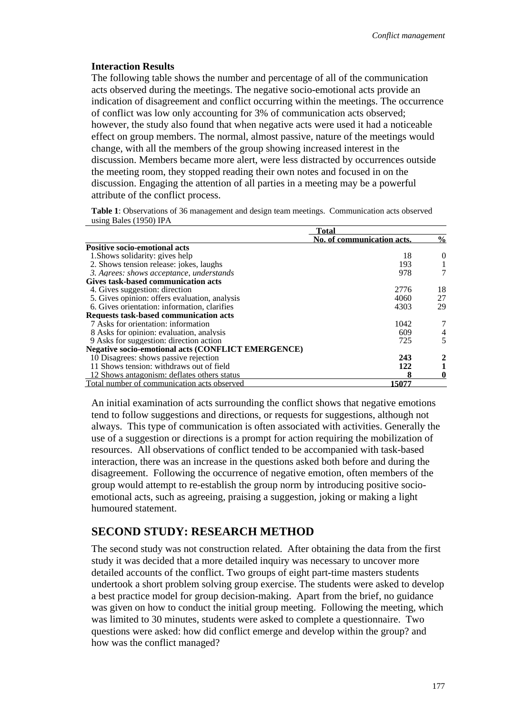#### **Interaction Results**

The following table shows the number and percentage of all of the communication acts observed during the meetings. The negative socio-emotional acts provide an indication of disagreement and conflict occurring within the meetings. The occurrence of conflict was low only accounting for 3% of communication acts observed; however, the study also found that when negative acts were used it had a noticeable effect on group members. The normal, almost passive, nature of the meetings would change, with all the members of the group showing increased interest in the discussion. Members became more alert, were less distracted by occurrences outside the meeting room, they stopped reading their own notes and focused in on the discussion. Engaging the attention of all parties in a meeting may be a powerful attribute of the conflict process.

**Table 1**: Observations of 36 management and design team meetings. Communication acts observed using Bales (1950) IPA

|                                                           | `otal                      |               |
|-----------------------------------------------------------|----------------------------|---------------|
|                                                           | No. of communication acts. | $\frac{6}{9}$ |
| <b>Positive socio-emotional acts</b>                      |                            |               |
| 1. Shows solidarity: gives help                           | 18                         | $\theta$      |
| 2. Shows tension release: jokes, laughs                   | 193                        |               |
| 3. Agrees: shows acceptance, understands                  | 978                        |               |
| Gives task-based communication acts                       |                            |               |
| 4. Gives suggestion: direction                            | 2776                       | 18            |
| 5. Gives opinion: offers evaluation, analysis             | 4060                       | 27            |
| 6. Gives orientation: information, clarifies              | 4303                       | 29            |
| <b>Requests task-based communication acts</b>             |                            |               |
| 7 Asks for orientation: information                       | 1042                       |               |
| 8 Asks for opinion: evaluation, analysis                  | 609                        |               |
| 9 Asks for suggestion: direction action                   | 725                        | 5             |
| <b>Negative socio-emotional acts (CONFLICT EMERGENCE)</b> |                            |               |
| 10 Disagrees: shows passive rejection                     | 243                        |               |
| 11 Shows tension: withdraws out of field                  | 122                        |               |
| 12 Shows antagonism: deflates others status               |                            | 0             |
| Total number of communication acts observed               | 15077                      |               |

An initial examination of acts surrounding the conflict shows that negative emotions tend to follow suggestions and directions, or requests for suggestions, although not always. This type of communication is often associated with activities. Generally the use of a suggestion or directions is a prompt for action requiring the mobilization of resources. All observations of conflict tended to be accompanied with task-based interaction, there was an increase in the questions asked both before and during the disagreement. Following the occurrence of negative emotion, often members of the group would attempt to re-establish the group norm by introducing positive socioemotional acts, such as agreeing, praising a suggestion, joking or making a light humoured statement.

### **SECOND STUDY: RESEARCH METHOD**

The second study was not construction related. After obtaining the data from the first study it was decided that a more detailed inquiry was necessary to uncover more detailed accounts of the conflict. Two groups of eight part-time masters students undertook a short problem solving group exercise. The students were asked to develop a best practice model for group decision-making. Apart from the brief, no guidance was given on how to conduct the initial group meeting. Following the meeting, which was limited to 30 minutes, students were asked to complete a questionnaire. Two questions were asked: how did conflict emerge and develop within the group? and how was the conflict managed?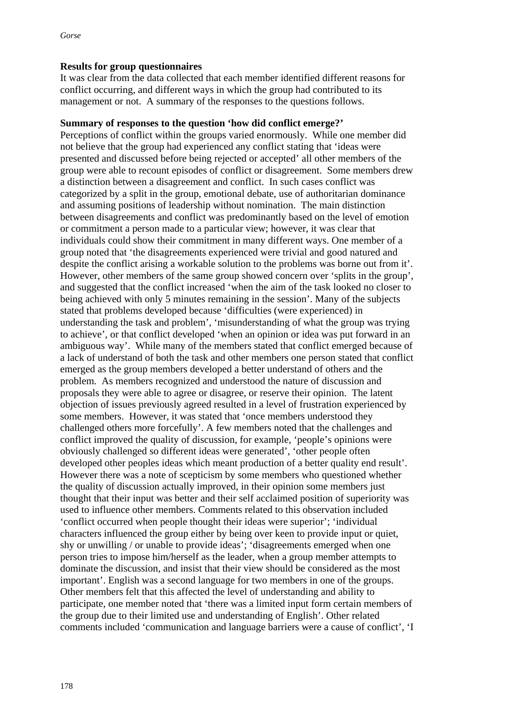### **Results for group questionnaires**

It was clear from the data collected that each member identified different reasons for conflict occurring, and different ways in which the group had contributed to its management or not. A summary of the responses to the questions follows.

### **Summary of responses to the question 'how did conflict emerge?'**

Perceptions of conflict within the groups varied enormously. While one member did not believe that the group had experienced any conflict stating that 'ideas were presented and discussed before being rejected or accepted' all other members of the group were able to recount episodes of conflict or disagreement. Some members drew a distinction between a disagreement and conflict. In such cases conflict was categorized by a split in the group, emotional debate, use of authoritarian dominance and assuming positions of leadership without nomination. The main distinction between disagreements and conflict was predominantly based on the level of emotion or commitment a person made to a particular view; however, it was clear that individuals could show their commitment in many different ways. One member of a group noted that 'the disagreements experienced were trivial and good natured and despite the conflict arising a workable solution to the problems was borne out from it'. However, other members of the same group showed concern over 'splits in the group', and suggested that the conflict increased 'when the aim of the task looked no closer to being achieved with only 5 minutes remaining in the session'. Many of the subjects stated that problems developed because 'difficulties (were experienced) in understanding the task and problem', 'misunderstanding of what the group was trying to achieve', or that conflict developed 'when an opinion or idea was put forward in an ambiguous way'. While many of the members stated that conflict emerged because of a lack of understand of both the task and other members one person stated that conflict emerged as the group members developed a better understand of others and the problem. As members recognized and understood the nature of discussion and proposals they were able to agree or disagree, or reserve their opinion. The latent objection of issues previously agreed resulted in a level of frustration experienced by some members. However, it was stated that 'once members understood they challenged others more forcefully'. A few members noted that the challenges and conflict improved the quality of discussion, for example, 'people's opinions were obviously challenged so different ideas were generated', 'other people often developed other peoples ideas which meant production of a better quality end result'. However there was a note of scepticism by some members who questioned whether the quality of discussion actually improved, in their opinion some members just thought that their input was better and their self acclaimed position of superiority was used to influence other members. Comments related to this observation included 'conflict occurred when people thought their ideas were superior'; 'individual characters influenced the group either by being over keen to provide input or quiet, shy or unwilling / or unable to provide ideas'; 'disagreements emerged when one person tries to impose him/herself as the leader, when a group member attempts to dominate the discussion, and insist that their view should be considered as the most important'. English was a second language for two members in one of the groups. Other members felt that this affected the level of understanding and ability to participate, one member noted that 'there was a limited input form certain members of the group due to their limited use and understanding of English'. Other related comments included 'communication and language barriers were a cause of conflict', 'I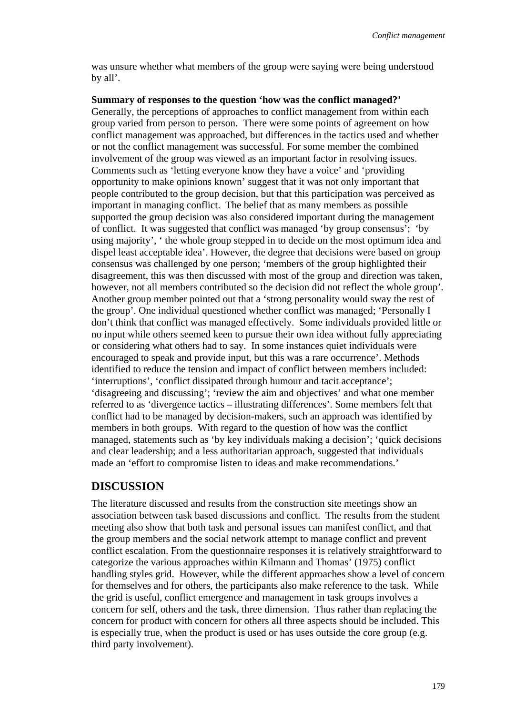was unsure whether what members of the group were saying were being understood by all'.

### **Summary of responses to the question 'how was the conflict managed?'**

Generally, the perceptions of approaches to conflict management from within each group varied from person to person. There were some points of agreement on how conflict management was approached, but differences in the tactics used and whether or not the conflict management was successful. For some member the combined involvement of the group was viewed as an important factor in resolving issues. Comments such as 'letting everyone know they have a voice' and 'providing opportunity to make opinions known' suggest that it was not only important that people contributed to the group decision, but that this participation was perceived as important in managing conflict. The belief that as many members as possible supported the group decision was also considered important during the management of conflict. It was suggested that conflict was managed 'by group consensus'; 'by using majority', ' the whole group stepped in to decide on the most optimum idea and dispel least acceptable idea'. However, the degree that decisions were based on group consensus was challenged by one person; 'members of the group highlighted their disagreement, this was then discussed with most of the group and direction was taken, however, not all members contributed so the decision did not reflect the whole group'. Another group member pointed out that a 'strong personality would sway the rest of the group'. One individual questioned whether conflict was managed; 'Personally I don't think that conflict was managed effectively. Some individuals provided little or no input while others seemed keen to pursue their own idea without fully appreciating or considering what others had to say. In some instances quiet individuals were encouraged to speak and provide input, but this was a rare occurrence'. Methods identified to reduce the tension and impact of conflict between members included: 'interruptions', 'conflict dissipated through humour and tacit acceptance'; 'disagreeing and discussing'; 'review the aim and objectives' and what one member referred to as 'divergence tactics – illustrating differences'. Some members felt that conflict had to be managed by decision-makers, such an approach was identified by members in both groups. With regard to the question of how was the conflict managed, statements such as 'by key individuals making a decision'; 'quick decisions and clear leadership; and a less authoritarian approach, suggested that individuals made an 'effort to compromise listen to ideas and make recommendations.'

## **DISCUSSION**

The literature discussed and results from the construction site meetings show an association between task based discussions and conflict. The results from the student meeting also show that both task and personal issues can manifest conflict, and that the group members and the social network attempt to manage conflict and prevent conflict escalation. From the questionnaire responses it is relatively straightforward to categorize the various approaches within Kilmann and Thomas' (1975) conflict handling styles grid. However, while the different approaches show a level of concern for themselves and for others, the participants also make reference to the task. While the grid is useful, conflict emergence and management in task groups involves a concern for self, others and the task, three dimension. Thus rather than replacing the concern for product with concern for others all three aspects should be included. This is especially true, when the product is used or has uses outside the core group (e.g. third party involvement).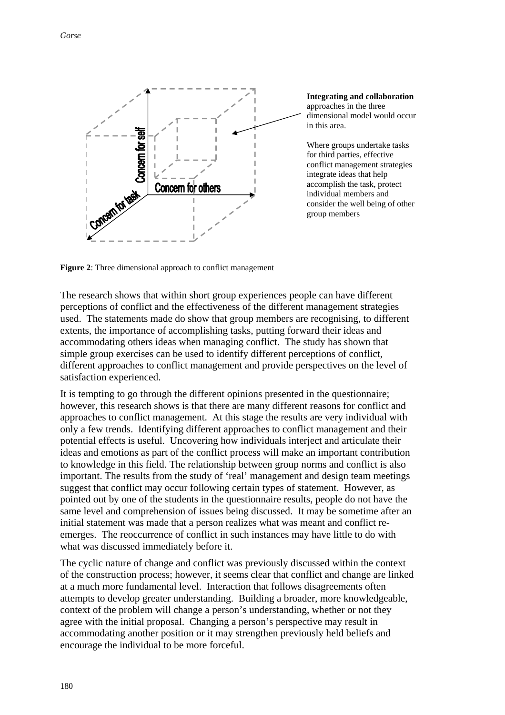

**Integrating and collaboration** approaches in the three dimensional model would occur in this area.

Where groups undertake tasks for third parties, effective conflict management strategies integrate ideas that help accomplish the task, protect individual members and consider the well being of other group members

**Figure 2**: Three dimensional approach to conflict management

The research shows that within short group experiences people can have different perceptions of conflict and the effectiveness of the different management strategies used. The statements made do show that group members are recognising, to different extents, the importance of accomplishing tasks, putting forward their ideas and accommodating others ideas when managing conflict. The study has shown that simple group exercises can be used to identify different perceptions of conflict, different approaches to conflict management and provide perspectives on the level of satisfaction experienced.

It is tempting to go through the different opinions presented in the questionnaire; however, this research shows is that there are many different reasons for conflict and approaches to conflict management. At this stage the results are very individual with only a few trends. Identifying different approaches to conflict management and their potential effects is useful. Uncovering how individuals interject and articulate their ideas and emotions as part of the conflict process will make an important contribution to knowledge in this field. The relationship between group norms and conflict is also important. The results from the study of 'real' management and design team meetings suggest that conflict may occur following certain types of statement. However, as pointed out by one of the students in the questionnaire results, people do not have the same level and comprehension of issues being discussed. It may be sometime after an initial statement was made that a person realizes what was meant and conflict reemerges. The reoccurrence of conflict in such instances may have little to do with what was discussed immediately before it.

The cyclic nature of change and conflict was previously discussed within the context of the construction process; however, it seems clear that conflict and change are linked at a much more fundamental level. Interaction that follows disagreements often attempts to develop greater understanding. Building a broader, more knowledgeable, context of the problem will change a person's understanding, whether or not they agree with the initial proposal. Changing a person's perspective may result in accommodating another position or it may strengthen previously held beliefs and encourage the individual to be more forceful.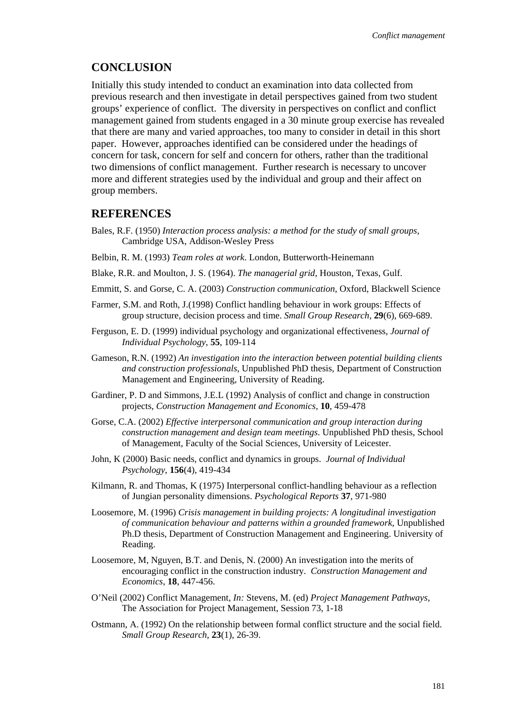### **CONCLUSION**

Initially this study intended to conduct an examination into data collected from previous research and then investigate in detail perspectives gained from two student groups' experience of conflict. The diversity in perspectives on conflict and conflict management gained from students engaged in a 30 minute group exercise has revealed that there are many and varied approaches, too many to consider in detail in this short paper. However, approaches identified can be considered under the headings of concern for task, concern for self and concern for others, rather than the traditional two dimensions of conflict management. Further research is necessary to uncover more and different strategies used by the individual and group and their affect on group members.

### **REFERENCES**

- Bales, R.F. (1950) *Interaction process analysis: a method for the study of small groups,* Cambridge USA, Addison-Wesley Press
- Belbin, R. M. (1993) *Team roles at work*. London, Butterworth-Heinemann
- Blake, R.R. and Moulton, J. S. (1964). *The managerial grid*, Houston, Texas, Gulf.
- Emmitt, S. and Gorse, C. A. (2003) *Construction communication*, Oxford, Blackwell Science
- Farmer, S.M. and Roth, J.(1998) Conflict handling behaviour in work groups: Effects of group structure, decision process and time. *Small Group Research*, **29**(6), 669-689.
- Ferguson, E. D. (1999) individual psychology and organizational effectiveness, *Journal of Individual Psychology*, **55**, 109-114
- Gameson, R.N. (1992) *An investigation into the interaction between potential building clients and construction professionals*, Unpublished PhD thesis, Department of Construction Management and Engineering, University of Reading.
- Gardiner, P. D and Simmons, J.E.L (1992) Analysis of conflict and change in construction projects, *Construction Management and Economics,* **10**, 459-478
- Gorse, C.A. (2002) *Effective interpersonal communication and group interaction during construction management and design team meetings*. Unpublished PhD thesis, School of Management, Faculty of the Social Sciences, University of Leicester.
- John, K (2000) Basic needs, conflict and dynamics in groups. *Journal of Individual Psychology*, **156**(4), 419-434
- Kilmann, R. and Thomas, K (1975) Interpersonal conflict-handling behaviour as a reflection of Jungian personality dimensions. *Psychological Reports* **37**, 971-980
- Loosemore, M. (1996) *Crisis management in building projects: A longitudinal investigation of communication behaviour and patterns within a grounded framework*, Unpublished Ph.D thesis, Department of Construction Management and Engineering. University of Reading.
- Loosemore, M, Nguyen, B.T. and Denis, N. (2000) An investigation into the merits of encouraging conflict in the construction industry. *Construction Management and Economics*, **18**, 447-456.
- O'Neil (2002) Conflict Management, *In:* Stevens, M. (ed) *Project Management Pathways,*  The Association for Project Management, Session 73, 1-18
- Ostmann, A. (1992) On the relationship between formal conflict structure and the social field. *Small Group Research*, **23**(1), 26-39.